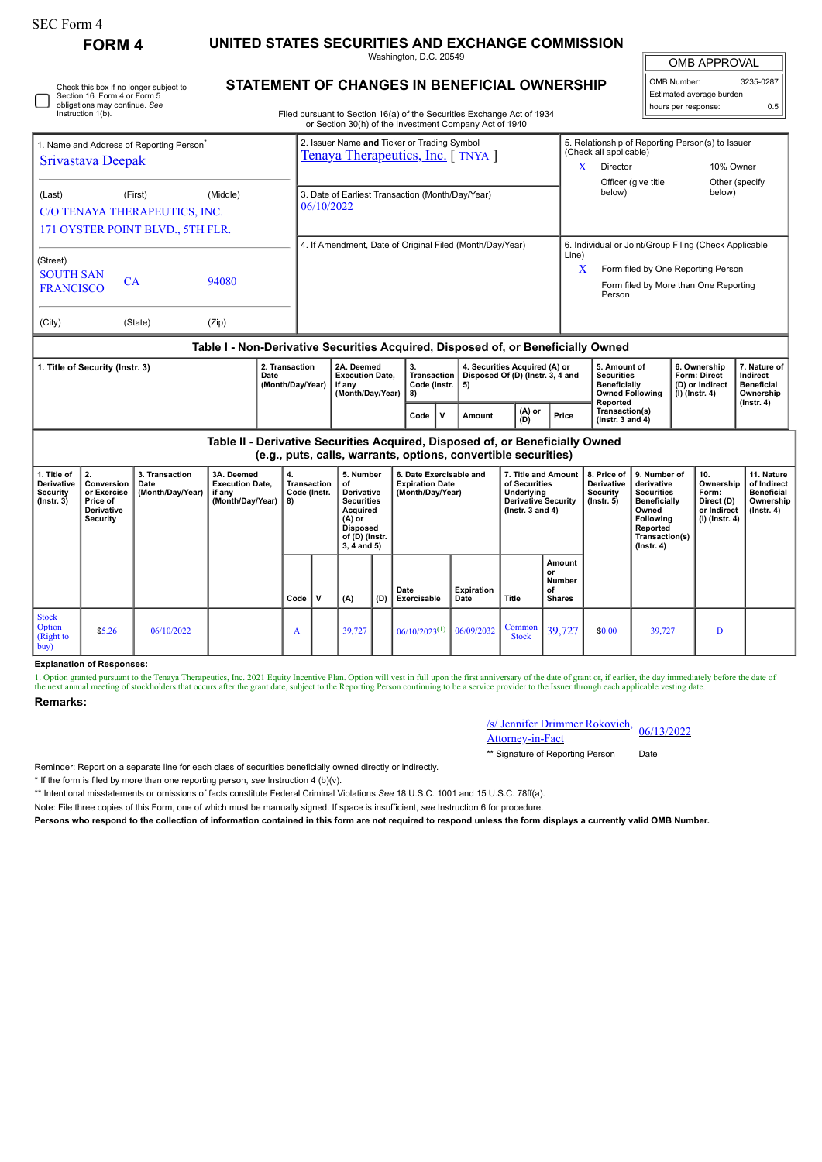| SEC Form 4                                                                                                                   |                                                                              |                                            |                                                                               |                                         |                                                                                                                        |                                                                                                                                     |                                         |                                                                                                                                           |                                                                                                                                                       |                                                                                                     |                                                                                                        |                                                                                                           |                                                                                                                                                |                                                                     |                                                                                |                                                                                 |  |
|------------------------------------------------------------------------------------------------------------------------------|------------------------------------------------------------------------------|--------------------------------------------|-------------------------------------------------------------------------------|-----------------------------------------|------------------------------------------------------------------------------------------------------------------------|-------------------------------------------------------------------------------------------------------------------------------------|-----------------------------------------|-------------------------------------------------------------------------------------------------------------------------------------------|-------------------------------------------------------------------------------------------------------------------------------------------------------|-----------------------------------------------------------------------------------------------------|--------------------------------------------------------------------------------------------------------|-----------------------------------------------------------------------------------------------------------|------------------------------------------------------------------------------------------------------------------------------------------------|---------------------------------------------------------------------|--------------------------------------------------------------------------------|---------------------------------------------------------------------------------|--|
| <b>FORM 4</b>                                                                                                                |                                                                              |                                            |                                                                               |                                         | UNITED STATES SECURITIES AND EXCHANGE COMMISSION<br>Washington, D.C. 20549                                             |                                                                                                                                     |                                         |                                                                                                                                           |                                                                                                                                                       |                                                                                                     |                                                                                                        |                                                                                                           |                                                                                                                                                | <b>OMB APPROVAL</b>                                                 |                                                                                |                                                                                 |  |
| Check this box if no longer subject to<br>Section 16. Form 4 or Form 5<br>obligations may continue. See<br>Instruction 1(b). |                                                                              |                                            |                                                                               |                                         | STATEMENT OF CHANGES IN BENEFICIAL OWNERSHIP<br>Filed pursuant to Section 16(a) of the Securities Exchange Act of 1934 |                                                                                                                                     |                                         |                                                                                                                                           |                                                                                                                                                       |                                                                                                     |                                                                                                        |                                                                                                           | OMB Number:<br>Estimated average burden<br>hours per response:                                                                                 |                                                                     |                                                                                | 3235-0287<br>0.5                                                                |  |
| 1. Name and Address of Reporting Person<br><b>Srivastava Deepak</b>                                                          |                                                                              |                                            |                                                                               |                                         |                                                                                                                        |                                                                                                                                     |                                         | or Section 30(h) of the Investment Company Act of 1940<br>2. Issuer Name and Ticker or Trading Symbol<br>Tenaya Therapeutics, Inc. [TNYA] |                                                                                                                                                       |                                                                                                     | 5. Relationship of Reporting Person(s) to Issuer<br>(Check all applicable)<br>$\mathbf{X}$<br>Director |                                                                                                           |                                                                                                                                                | 10% Owner                                                           |                                                                                |                                                                                 |  |
| (First)<br>(Middle)<br>(Last)<br>C/O TENAYA THERAPEUTICS, INC.                                                               |                                                                              |                                            |                                                                               |                                         | 3. Date of Earliest Transaction (Month/Day/Year)<br>06/10/2022                                                         |                                                                                                                                     |                                         |                                                                                                                                           |                                                                                                                                                       |                                                                                                     |                                                                                                        |                                                                                                           | Officer (give title<br>Other (specify<br>below)<br>below)                                                                                      |                                                                     |                                                                                |                                                                                 |  |
| 171 OYSTER POINT BLVD., 5TH FLR.<br>(Street)<br><b>SOUTH SAN</b>                                                             |                                                                              |                                            |                                                                               |                                         | 4. If Amendment, Date of Original Filed (Month/Day/Year)                                                               |                                                                                                                                     |                                         |                                                                                                                                           |                                                                                                                                                       |                                                                                                     |                                                                                                        | 6. Individual or Joint/Group Filing (Check Applicable<br>Line)<br>x<br>Form filed by One Reporting Person |                                                                                                                                                |                                                                     |                                                                                |                                                                                 |  |
| CA<br>94080<br><b>FRANCISCO</b><br>(State)<br>(Zip)<br>(City)                                                                |                                                                              |                                            |                                                                               |                                         | Person                                                                                                                 |                                                                                                                                     |                                         |                                                                                                                                           |                                                                                                                                                       |                                                                                                     |                                                                                                        |                                                                                                           |                                                                                                                                                | Form filed by More than One Reporting                               |                                                                                |                                                                                 |  |
| 1. Title of Security (Instr. 3)<br>2. Transaction<br>Date<br>(Month/Day/Year)                                                |                                                                              |                                            |                                                                               |                                         | 2A. Deemed<br><b>Execution Date.</b><br>if any<br>(Month/Day/Year)                                                     |                                                                                                                                     | 3.<br>Transaction<br>Code (Instr.<br>8) | 5)                                                                                                                                        | Table I - Non-Derivative Securities Acquired, Disposed of, or Beneficially Owned<br>4. Securities Acquired (A) or<br>Disposed Of (D) (Instr. 3, 4 and |                                                                                                     | 5. Amount of<br><b>Securities</b><br><b>Beneficially</b><br><b>Owned Following</b>                     |                                                                                                           |                                                                                                                                                | 6. Ownership<br>Form: Direct<br>(D) or Indirect<br>$(I)$ (Instr. 4) | 7. Nature of<br>Indirect<br><b>Beneficial</b><br>Ownership<br>$($ Instr. 4 $)$ |                                                                                 |  |
|                                                                                                                              |                                                                              |                                            |                                                                               |                                         |                                                                                                                        |                                                                                                                                     |                                         | V<br>Code                                                                                                                                 | Amount                                                                                                                                                | (A) or<br>(D)                                                                                       | Price                                                                                                  | Reported<br>Transaction(s)<br>(Instr. 3 and $4$ )                                                         |                                                                                                                                                |                                                                     |                                                                                |                                                                                 |  |
|                                                                                                                              |                                                                              |                                            | Table II - Derivative Securities Acquired, Disposed of, or Beneficially Owned |                                         |                                                                                                                        |                                                                                                                                     |                                         | (e.g., puts, calls, warrants, options, convertible securities)                                                                            |                                                                                                                                                       |                                                                                                     |                                                                                                        |                                                                                                           |                                                                                                                                                |                                                                     |                                                                                |                                                                                 |  |
| 1. Title of<br>Derivative<br><b>Security</b><br>$($ Instr. 3 $)$                                                             | 2.<br>Conversion<br>or Exercise<br>Price of<br>Derivative<br><b>Security</b> | 3. Transaction<br>Date<br>(Month/Day/Year) | 3A. Deemed<br><b>Execution Date,</b><br>if any<br>(Month/Day/Year)            | 4.<br>Transaction<br>Code (Instr.<br>8) |                                                                                                                        | 5. Number<br>of<br><b>Derivative</b><br><b>Securities</b><br>Acquired<br>(A) or<br><b>Disposed</b><br>of (D) (Instr.<br>3, 4 and 5) |                                         | 6. Date Exercisable and<br><b>Expiration Date</b><br>(Month/Day/Year)                                                                     |                                                                                                                                                       | 7. Title and Amount<br>of Securities<br>Underlying<br>Derivative Security<br>$($ Instr. 3 and 4 $)$ |                                                                                                        | 8. Price of<br>Derivative<br>Security<br>$($ lnstr. 5 $)$                                                 | 9. Number of<br>derivative<br><b>Securities</b><br><b>Beneficially</b><br>Owned<br>Following<br>Reported<br>Transaction(s)<br>$($ Instr. 4 $)$ |                                                                     | 10.<br>Ownership<br>Form:<br>Direct (D)<br>or Indirect<br>$(I)$ (Instr. 4)     | 11. Nature<br>of Indirect<br><b>Beneficial</b><br>Ownership<br>$($ Instr. 4 $)$ |  |
|                                                                                                                              |                                                                              |                                            |                                                                               | Code                                    | $\mathsf{v}$                                                                                                           | (A)                                                                                                                                 | (D)                                     | Date<br>Exercisable                                                                                                                       | <b>Expiration</b><br>Date                                                                                                                             | <b>Title</b>                                                                                        | Amount<br>or<br><b>Number</b><br>of<br><b>Shares</b>                                                   |                                                                                                           |                                                                                                                                                |                                                                     |                                                                                |                                                                                 |  |
| <b>Stock</b><br>Option<br>(Right to<br>buv)                                                                                  | \$5.26                                                                       | 06/10/2022                                 |                                                                               | A                                       |                                                                                                                        | 39,727                                                                                                                              |                                         | $06/10/2023^{(1)}$                                                                                                                        | 06/09/2032                                                                                                                                            | Common<br><b>Stock</b>                                                                              | 39,727                                                                                                 | \$0.00                                                                                                    | 39,727                                                                                                                                         |                                                                     | D                                                                              |                                                                                 |  |

## **Explanation of Responses:**

1. Option granted pursuant to the Tenaya Therapeutics, Inc. 2021 Equity Incentive Plan. Option will vest in full upon the first anniversary of the date of grant or, if earlier, the day immediately before the date of the as

## **Remarks:**

| /s/ Jennifer Drimmer Rokovich, 06/13/2022 |  |
|-------------------------------------------|--|
| Attorney-in-Fact                          |  |

\*\* Signature of Reporting Person Date

Reminder: Report on a separate line for each class of securities beneficially owned directly or indirectly.

\* If the form is filed by more than one reporting person, *see* Instruction 4 (b)(v).

\*\* Intentional misstatements or omissions of facts constitute Federal Criminal Violations *See* 18 U.S.C. 1001 and 15 U.S.C. 78ff(a).

Note: File three copies of this Form, one of which must be manually signed. If space is insufficient, *see* Instruction 6 for procedure.

**Persons who respond to the collection of information contained in this form are not required to respond unless the form displays a currently valid OMB Number.**